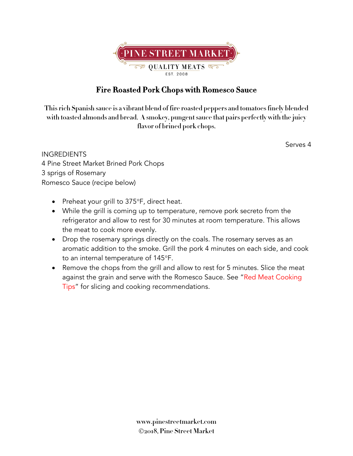

## **Fire Roasted Pork Chops with Romesco Sauce**

**This rich Spanish sauce is a vibrant blend of fire roasted peppers and tomatoes finely blended with toasted almonds and bread. A smokey, pungent sauce that pairs perfectly with the juicy flavor of brined pork chops.** 

Serves 4

**INGREDIENTS** 4 Pine Street Market Brined Pork Chops 3 sprigs of Rosemary Romesco Sauce (recipe below)

- Preheat your grill to 375°F, direct heat.
- While the grill is coming up to temperature, remove pork secreto from the refrigerator and allow to rest for 30 minutes at room temperature. This allows the meat to cook more evenly.
- Drop the rosemary springs directly on the coals. The rosemary serves as an aromatic addition to the smoke. Grill the pork 4 minutes on each side, and cook to an internal temperature of 145°F.
- Remove the chops from the grill and allow to rest for 5 minutes. Slice the meat against the grain and serve with the Romesco Sauce. See "Red Meat Cooking Tips" for slicing and cooking recommendations.